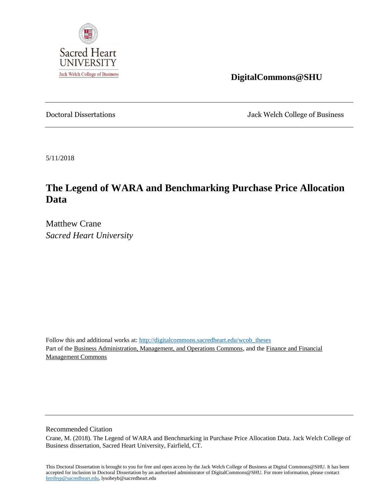

 **DigitalCommons@SHU**

Doctoral Dissertations Jack Welch College of Business

5/11/2018

# **The Legend of WARA and Benchmarking Purchase Price Allocation Data**

Matthew Crane *Sacred Heart University* 

Follow this and additional works at: [http://digitalcommons.sacredheart.edu/wcob\\_theses](http://digitalcommons.sacredheart.edu/wcob_theses) Part of the Business Administration, Management, and Operations Commons, and the Finance and Financial Management Commons

Recommended Citation

Crane, M. (2018). The Legend of WARA and Benchmarking in Purchase Price Allocation Data. Jack Welch College of Business dissertation, Sacred Heart University, Fairfield, CT.

This Doctoral Dissertation is brought to you for free and open access by the Jack Welch College of Business at Digital Commons@SHU. It has been accepted for inclusion in Doctoral Dissertation by an authorized administrator of DigitalCommons@SHU. For more information, please contact [ferribyp@sacredheart.edu,](mailto:ferribyp@sacredheart.edu) lysobeyb@sacredheart.edu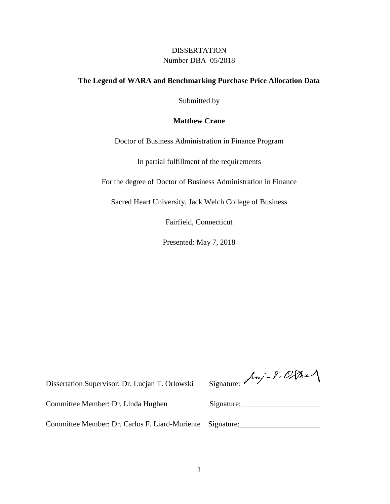## **DISSERTATION** Number DBA 05/2018

### **The Legend of WARA and Benchmarking Purchase Price Allocation Data**

Submitted by

### **Matthew Crane**

Doctor of Business Administration in Finance Program

In partial fulfillment of the requirements

For the degree of Doctor of Business Administration in Finance

Sacred Heart University, Jack Welch College of Business

Fairfield, Connecticut

Presented: May 7, 2018

Dissertation Supervisor: Dr. Lucjan T. Orlowski Signa

|  |  | dure: Anj-1.000 |  |
|--|--|-----------------|--|
|--|--|-----------------|--|

Committee Member: Dr. Linda Hughen Signature:

Committee Member: Dr. Carlos F. Liard-Muriente Signature: \_\_\_\_\_\_\_\_\_\_\_\_\_\_\_\_\_\_\_\_\_\_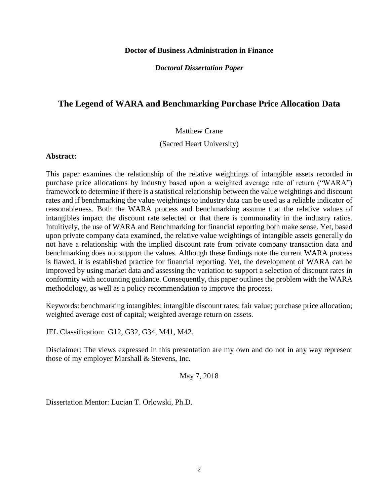#### **Doctor of Business Administration in Finance**

*Doctoral Dissertation Paper*

## **The Legend of WARA and Benchmarking Purchase Price Allocation Data**

#### Matthew Crane

(Sacred Heart University)

#### **Abstract:**

This paper examines the relationship of the relative weightings of intangible assets recorded in purchase price allocations by industry based upon a weighted average rate of return ("WARA") framework to determine if there is a statistical relationship between the value weightings and discount rates and if benchmarking the value weightings to industry data can be used as a reliable indicator of reasonableness. Both the WARA process and benchmarking assume that the relative values of intangibles impact the discount rate selected or that there is commonality in the industry ratios. Intuitively, the use of WARA and Benchmarking for financial reporting both make sense. Yet, based upon private company data examined, the relative value weightings of intangible assets generally do not have a relationship with the implied discount rate from private company transaction data and benchmarking does not support the values. Although these findings note the current WARA process is flawed, it is established practice for financial reporting. Yet, the development of WARA can be improved by using market data and assessing the variation to support a selection of discount rates in conformity with accounting guidance. Consequently, this paper outlines the problem with the WARA methodology, as well as a policy recommendation to improve the process.

Keywords: benchmarking intangibles; intangible discount rates; fair value; purchase price allocation; weighted average cost of capital; weighted average return on assets.

JEL Classification: G12, G32, G34, M41, M42.

Disclaimer: The views expressed in this presentation are my own and do not in any way represent those of my employer Marshall & Stevens, Inc.

May 7, 2018

Dissertation Mentor: Lucjan T. Orlowski, Ph.D.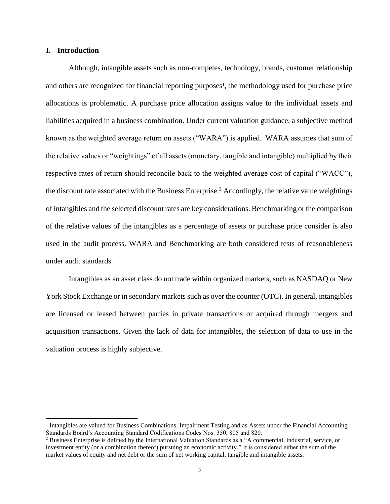#### **I. Introduction**

 $\overline{a}$ 

Although, intangible assets such as non-competes, technology, brands, customer relationship and others are recognized for financial reporting purposes<sup>1</sup>, the methodology used for purchase price allocations is problematic. A purchase price allocation assigns value to the individual assets and liabilities acquired in a business combination. Under current valuation guidance, a subjective method known as the weighted average return on assets ("WARA") is applied. WARA assumes that sum of the relative values or "weightings" of all assets (monetary, tangible and intangible) multiplied by their respective rates of return should reconcile back to the weighted average cost of capital ("WACC"), the discount rate associated with the Business Enterprise.<sup>2</sup> Accordingly, the relative value weightings of intangibles and the selected discount rates are key considerations. Benchmarking or the comparison of the relative values of the intangibles as a percentage of assets or purchase price consider is also used in the audit process. WARA and Benchmarking are both considered tests of reasonableness under audit standards.

Intangibles as an asset class do not trade within organized markets, such as NASDAQ or New York Stock Exchange or in secondary markets such as over the counter (OTC). In general, intangibles are licensed or leased between parties in private transactions or acquired through mergers and acquisition transactions. Given the lack of data for intangibles, the selection of data to use in the valuation process is highly subjective.

<sup>&</sup>lt;sup>1</sup> Intangibles are valued for Business Combinations, Impairment Testing and as Assets under the Financial Accounting Standards Board's Accounting Standard Codifications Codes Nos. 350, 805 and 820.

<sup>2</sup> Business Enterprise is defined by the International Valuation Standards as a "A commercial, industrial, service, or investment entity (or a combination thereof) pursuing an economic activity." It is considered either the sum of the market values of equity and net debt or the sum of net working capital, tangible and intangible assets.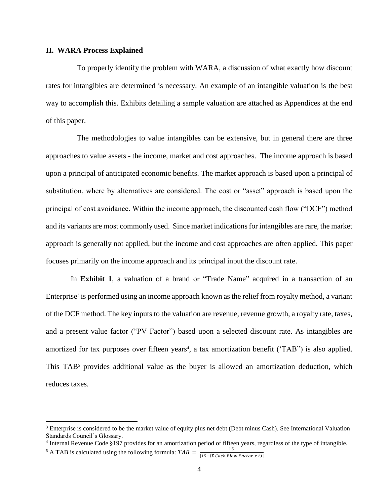#### **II. WARA Process Explained**

To properly identify the problem with WARA, a discussion of what exactly how discount rates for intangibles are determined is necessary. An example of an intangible valuation is the best way to accomplish this. Exhibits detailing a sample valuation are attached as Appendices at the end of this paper.

The methodologies to value intangibles can be extensive, but in general there are three approaches to value assets - the income, market and cost approaches. The income approach is based upon a principal of anticipated economic benefits. The market approach is based upon a principal of substitution, where by alternatives are considered. The cost or "asset" approach is based upon the principal of cost avoidance. Within the income approach, the discounted cash flow ("DCF") method and its variants are most commonly used. Since market indications for intangibles are rare, the market approach is generally not applied, but the income and cost approaches are often applied. This paper focuses primarily on the income approach and its principal input the discount rate.

In **Exhibit 1**, a valuation of a brand or "Trade Name" acquired in a transaction of an Enterprise<sup>3</sup> is performed using an income approach known as the relief from royalty method, a variant of the DCF method. The key inputs to the valuation are revenue, revenue growth, a royalty rate, taxes, and a present value factor ("PV Factor") based upon a selected discount rate. As intangibles are amortized for tax purposes over fifteen years<sup>4</sup>, a tax amortization benefit ('TAB'') is also applied. This  $TAB<sup>5</sup>$  provides additional value as the buyer is allowed an amortization deduction, which reduces taxes.

 $\overline{a}$ 

 $3$  Enterprise is considered to be the market value of equity plus net debt (Debt minus Cash). See International Valuation Standards Council's Glossary.

<sup>&</sup>lt;sup>4</sup> Internal Revenue Code §197 provides for an amortization period of fifteen years, regardless of the type of intangible.

<sup>&</sup>lt;sup>5</sup> A TAB is calculated using the following formula:  $TAB = \frac{15}{145 \times 8.655 \text{ Hz}}$  $[15-(\Sigma \ Cash \ Flow \ Factor \ x \ t)]$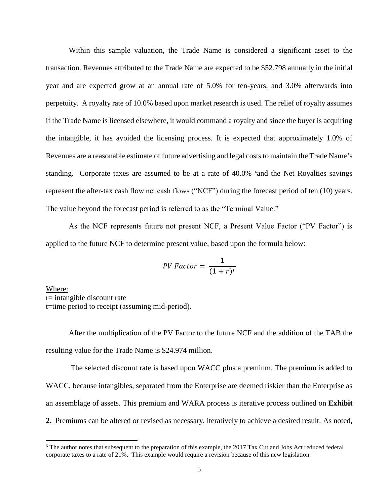Within this sample valuation, the Trade Name is considered a significant asset to the transaction. Revenues attributed to the Trade Name are expected to be \$52.798 annually in the initial year and are expected grow at an annual rate of 5.0% for ten-years, and 3.0% afterwards into perpetuity. A royalty rate of 10.0% based upon market research is used. The relief of royalty assumes if the Trade Name is licensed elsewhere, it would command a royalty and since the buyer is acquiring the intangible, it has avoided the licensing process. It is expected that approximately 1.0% of Revenues are a reasonable estimate of future advertising and legal costs to maintain the Trade Name's standing. Corporate taxes are assumed to be at a rate of 40.0% <sup>6</sup> and the Net Royalties savings represent the after-tax cash flow net cash flows ("NCF") during the forecast period of ten (10) years. The value beyond the forecast period is referred to as the "Terminal Value."

As the NCF represents future not present NCF, a Present Value Factor ("PV Factor") is applied to the future NCF to determine present value, based upon the formula below:

$$
PV Factor = \frac{1}{(1+r)^t}
$$

Where: r= intangible discount rate t=time period to receipt (assuming mid-period).

 $\overline{a}$ 

After the multiplication of the PV Factor to the future NCF and the addition of the TAB the resulting value for the Trade Name is \$24.974 million.

The selected discount rate is based upon WACC plus a premium. The premium is added to WACC, because intangibles, separated from the Enterprise are deemed riskier than the Enterprise as an assemblage of assets. This premium and WARA process is iterative process outlined on **Exhibit 2.** Premiums can be altered or revised as necessary, iteratively to achieve a desired result. As noted,

<sup>&</sup>lt;sup>6</sup> The author notes that subsequent to the preparation of this example, the 2017 Tax Cut and Jobs Act reduced federal corporate taxes to a rate of 21%. This example would require a revision because of this new legislation.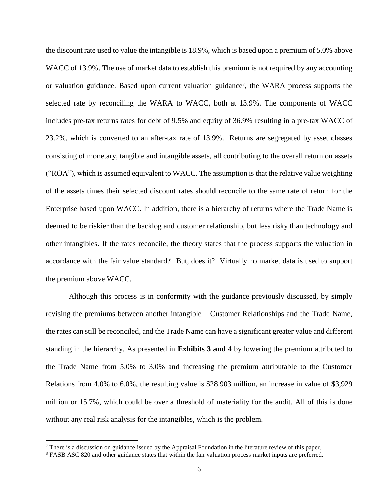the discount rate used to value the intangible is 18.9%, which is based upon a premium of 5.0% above WACC of 13.9%. The use of market data to establish this premium is not required by any accounting or valuation guidance. Based upon current valuation guidance<sup>7</sup>, the WARA process supports the selected rate by reconciling the WARA to WACC, both at 13.9%. The components of WACC includes pre-tax returns rates for debt of 9.5% and equity of 36.9% resulting in a pre-tax WACC of 23.2%, which is converted to an after-tax rate of 13.9%. Returns are segregated by asset classes consisting of monetary, tangible and intangible assets, all contributing to the overall return on assets ("ROA"), which is assumed equivalent to WACC. The assumption is that the relative value weighting of the assets times their selected discount rates should reconcile to the same rate of return for the Enterprise based upon WACC. In addition, there is a hierarchy of returns where the Trade Name is deemed to be riskier than the backlog and customer relationship, but less risky than technology and other intangibles. If the rates reconcile, the theory states that the process supports the valuation in accordance with the fair value standard.<sup>8</sup> But, does it? Virtually no market data is used to support the premium above WACC.

Although this process is in conformity with the guidance previously discussed, by simply revising the premiums between another intangible – Customer Relationships and the Trade Name, the rates can still be reconciled, and the Trade Name can have a significant greater value and different standing in the hierarchy. As presented in **Exhibits 3 and 4** by lowering the premium attributed to the Trade Name from 5.0% to 3.0% and increasing the premium attributable to the Customer Relations from 4.0% to 6.0%, the resulting value is \$28.903 million, an increase in value of \$3,929 million or 15.7%, which could be over a threshold of materiality for the audit. All of this is done without any real risk analysis for the intangibles, which is the problem.

 $\overline{a}$ 

<sup>&</sup>lt;sup>7</sup> There is a discussion on guidance issued by the Appraisal Foundation in the literature review of this paper.

<sup>8</sup> FASB ASC 820 and other guidance states that within the fair valuation process market inputs are preferred.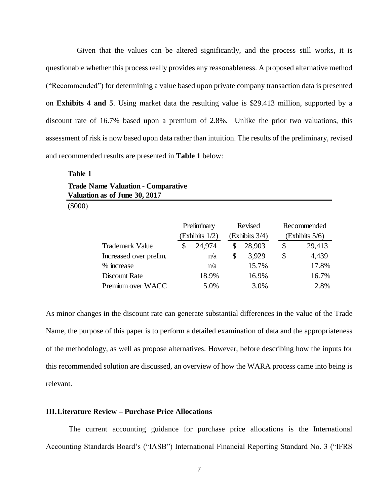Given that the values can be altered significantly, and the process still works, it is questionable whether this process really provides any reasonableness. A proposed alternative method ("Recommended") for determining a value based upon private company transaction data is presented on **Exhibits 4 and 5**. Using market data the resulting value is \$29.413 million, supported by a discount rate of 16.7% based upon a premium of 2.8%. Unlike the prior two valuations, this assessment of risk is now based upon data rather than intuition. The results of the preliminary, revised and recommended results are presented in **Table 1** below:

**Table 1 Trade Name Valuation - Comparative Valuation as of June 30, 2017**

(\$000)

|                        |                | Preliminary |    | Revised        | Recommended    |
|------------------------|----------------|-------------|----|----------------|----------------|
|                        | (Exhibits 1/2) |             |    | (Exhibits 3/4) | (Exhibits 5/6) |
| <b>Trademark Value</b> |                | 24,974      |    | 28,903         | \$<br>29,413   |
| Increased over prelim. |                | n/a         | \$ | 3,929          | \$<br>4,439    |
| % increase             |                | n/a         |    | 15.7%          | 17.8%          |
| Discount Rate          |                | 18.9%       |    | 16.9%          | 16.7%          |
| Premium over WACC      |                | 5.0%        |    | 3.0%           | 2.8%           |

As minor changes in the discount rate can generate substantial differences in the value of the Trade Name, the purpose of this paper is to perform a detailed examination of data and the appropriateness of the methodology, as well as propose alternatives. However, before describing how the inputs for this recommended solution are discussed, an overview of how the WARA process came into being is relevant.

### **III.Literature Review – Purchase Price Allocations**

The current accounting guidance for purchase price allocations is the International Accounting Standards Board's ("IASB") International Financial Reporting Standard No. 3 ("IFRS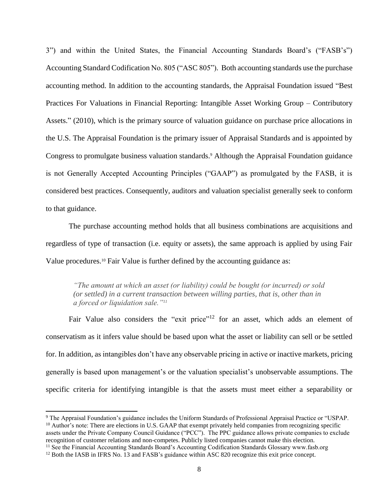3") and within the United States, the Financial Accounting Standards Board's ("FASB's") Accounting Standard Codification No. 805 ("ASC 805"). Both accounting standards use the purchase accounting method. In addition to the accounting standards, the Appraisal Foundation issued "Best Practices For Valuations in Financial Reporting: Intangible Asset Working Group – Contributory Assets." (2010), which is the primary source of valuation guidance on purchase price allocations in the U.S. The Appraisal Foundation is the primary issuer of Appraisal Standards and is appointed by Congress to promulgate business valuation standards.<sup>9</sup> Although the Appraisal Foundation guidance is not Generally Accepted Accounting Principles ("GAAP") as promulgated by the FASB, it is considered best practices. Consequently, auditors and valuation specialist generally seek to conform to that guidance.

The purchase accounting method holds that all business combinations are acquisitions and regardless of type of transaction (i.e. equity or assets), the same approach is applied by using Fair Value procedures.<sup>10</sup> Fair Value is further defined by the accounting guidance as:

*"The amount at which an asset (or liability) could be bought (or incurred) or sold (or settled) in a current transaction between willing parties, that is, other than in a forced or liquidation sale."<sup>11</sup>*

Fair Value also considers the "exit price"<sup>12</sup> for an asset, which adds an element of conservatism as it infers value should be based upon what the asset or liability can sell or be settled for. In addition, as intangibles don't have any observable pricing in active or inactive markets, pricing generally is based upon management's or the valuation specialist's unobservable assumptions. The specific criteria for identifying intangible is that the assets must meet either a separability or

<sup>9</sup> The Appraisal Foundation's guidance includes the Uniform Standards of Professional Appraisal Practice or "USPAP. <sup>10</sup> Author's note: There are elections in U.S. GAAP that exempt privately held companies from recognizing specific assets under the Private Company Council Guidance ("PCC"). The PPC guidance allows private companies to exclude recognition of customer relations and non-competes. Publicly listed companies cannot make this election.

<sup>&</sup>lt;sup>11</sup> See the Financial Accounting Standards Board's Accounting Codification Standards Glossary www.fasb.org

<sup>&</sup>lt;sup>12</sup> Both the IASB in IFRS No. 13 and FASB's guidance within ASC 820 recognize this exit price concept.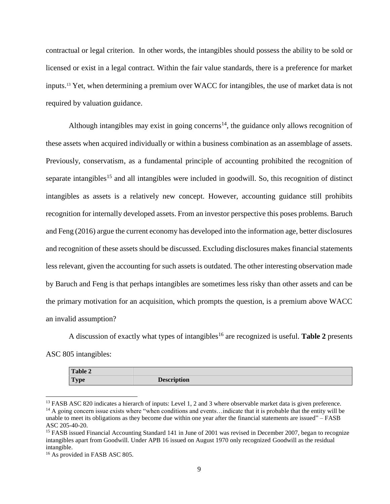contractual or legal criterion. In other words, the intangibles should possess the ability to be sold or licensed or exist in a legal contract. Within the fair value standards, there is a preference for market inputs.<sup>13</sup> Yet, when determining a premium over WACC for intangibles, the use of market data is not required by valuation guidance.

Although intangibles may exist in going concerns<sup>14</sup>, the guidance only allows recognition of these assets when acquired individually or within a business combination as an assemblage of assets. Previously, conservatism, as a fundamental principle of accounting prohibited the recognition of separate intangibles<sup>15</sup> and all intangibles were included in goodwill. So, this recognition of distinct intangibles as assets is a relatively new concept. However, accounting guidance still prohibits recognition for internally developed assets. From an investor perspective this poses problems. Baruch and Feng (2016) argue the current economy has developed into the information age, better disclosures and recognition of these assets should be discussed. Excluding disclosures makes financial statements less relevant, given the accounting for such assets is outdated. The other interesting observation made by Baruch and Feng is that perhaps intangibles are sometimes less risky than other assets and can be the primary motivation for an acquisition, which prompts the question, is a premium above WACC an invalid assumption?

A discussion of exactly what types of intangibles<sup>16</sup> are recognized is useful. **Table 2** presents ASC 805 intangibles:

| <b>Table 2</b> |                    |
|----------------|--------------------|
| <b>Type</b>    | <b>Description</b> |

<sup>&</sup>lt;sup>13</sup> FASB ASC 820 indicates a hierarch of inputs: Level 1, 2 and 3 where observable market data is given preference.  $14$  A going concern issue exists where "when conditions and events... indicate that it is probable that the entity will be unable to meet its obligations as they become due within one year after the financial statements are issued" – FASB ASC 205-40-20.

 $\overline{a}$ 

<sup>&</sup>lt;sup>15</sup> FASB issued Financial Accounting Standard 141 in June of 2001 was revised in December 2007, began to recognize intangibles apart from Goodwill. Under APB 16 issued on August 1970 only recognized Goodwill as the residual intangible.

<sup>&</sup>lt;sup>16</sup> As provided in FASB ASC 805.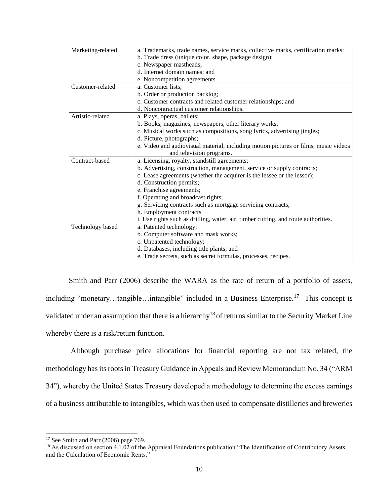| Marketing-related | a. Trademarks, trade names, service marks, collective marks, certification marks;   |
|-------------------|-------------------------------------------------------------------------------------|
|                   | b. Trade dress (unique color, shape, package design);                               |
|                   | c. Newspaper mastheads;                                                             |
|                   | d. Internet domain names; and                                                       |
|                   | e. Noncompetition agreements                                                        |
| Customer-related  | a. Customer lists;                                                                  |
|                   | b. Order or production backlog;                                                     |
|                   | c. Customer contracts and related customer relationships; and                       |
|                   | d. Noncontractual customer relationships.                                           |
| Artistic-related  | a. Plays, operas, ballets;                                                          |
|                   | b. Books, magazines, newspapers, other literary works;                              |
|                   | c. Musical works such as compositions, song lyrics, advertising jingles;            |
|                   | d. Picture, photographs;                                                            |
|                   | e. Video and audiovisual material, including motion pictures or films, music videos |
|                   | and television programs.                                                            |
| Contract-based    | a. Licensing, royalty, standstill agreements;                                       |
|                   | b. Advertising, construction, management, service or supply contracts;              |
|                   | c. Lease agreements (whether the acquirer is the lessee or the lessor);             |
|                   | d. Construction permits;                                                            |
|                   | e. Franchise agreements;                                                            |
|                   | f. Operating and broadcast rights;                                                  |
|                   | g. Servicing contracts such as mortgage servicing contracts;                        |
|                   | h. Employment contracts                                                             |
|                   | i. Use rights such as drilling, water, air, timber cutting, and route authorities.  |
| Technology based  | a. Patented technology;                                                             |
|                   | b. Computer software and mask works;                                                |
|                   | c. Unpatented technology;                                                           |
|                   | d. Databases, including title plants; and                                           |
|                   | e. Trade secrets, such as secret formulas, processes, recipes.                      |

Smith and Parr (2006) describe the WARA as the rate of return of a portfolio of assets, including "monetary...tangible...intangible" included in a Business Enterprise.<sup>17</sup> This concept is validated under an assumption that there is a hierarchy<sup>18</sup> of returns similar to the Security Market Line whereby there is a risk/return function.

Although purchase price allocations for financial reporting are not tax related, the methodology has its roots in Treasury Guidance in Appeals and Review Memorandum No. 34 ("ARM 34"), whereby the United States Treasury developed a methodology to determine the excess earnings of a business attributable to intangibles, which was then used to compensate distilleries and breweries

<sup>&</sup>lt;sup>17</sup> See Smith and Parr (2006) page 769.

<sup>&</sup>lt;sup>18</sup> As discussed on section 4.1.02 of the Appraisal Foundations publication "The Identification of Contributory Assets and the Calculation of Economic Rents."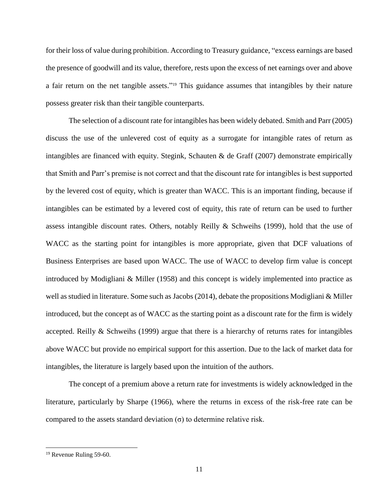for their loss of value during prohibition. According to Treasury guidance, "excess earnings are based the presence of goodwill and its value, therefore, rests upon the excess of net earnings over and above a fair return on the net tangible assets." <sup>19</sup> This guidance assumes that intangibles by their nature possess greater risk than their tangible counterparts.

The selection of a discount rate for intangibles has been widely debated. Smith and Parr (2005) discuss the use of the unlevered cost of equity as a surrogate for intangible rates of return as intangibles are financed with equity. Stegink, Schauten & de Graff (2007) demonstrate empirically that Smith and Parr's premise is not correct and that the discount rate for intangibles is best supported by the levered cost of equity, which is greater than WACC. This is an important finding, because if intangibles can be estimated by a levered cost of equity, this rate of return can be used to further assess intangible discount rates. Others, notably Reilly & Schweihs (1999), hold that the use of WACC as the starting point for intangibles is more appropriate, given that DCF valuations of Business Enterprises are based upon WACC. The use of WACC to develop firm value is concept introduced by Modigliani & Miller (1958) and this concept is widely implemented into practice as well as studied in literature. Some such as Jacobs (2014), debate the propositions Modigliani & Miller introduced, but the concept as of WACC as the starting point as a discount rate for the firm is widely accepted. Reilly & Schweihs (1999) argue that there is a hierarchy of returns rates for intangibles above WACC but provide no empirical support for this assertion. Due to the lack of market data for intangibles, the literature is largely based upon the intuition of the authors.

The concept of a premium above a return rate for investments is widely acknowledged in the literature, particularly by Sharpe (1966), where the returns in excess of the risk-free rate can be compared to the assets standard deviation (σ) to determine relative risk.

 $\overline{a}$ 

<sup>&</sup>lt;sup>19</sup> Revenue Ruling 59-60.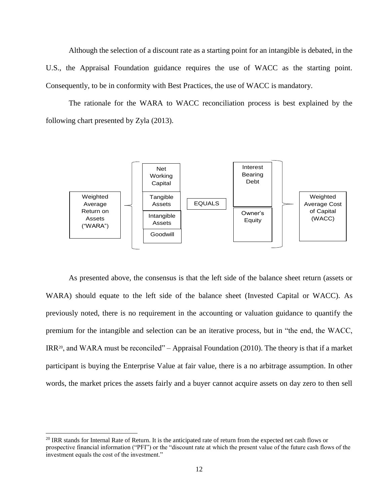Although the selection of a discount rate as a starting point for an intangible is debated, in the U.S., the Appraisal Foundation guidance requires the use of WACC as the starting point. Consequently, to be in conformity with Best Practices, the use of WACC is mandatory.

The rationale for the WARA to WACC reconciliation process is best explained by the following chart presented by Zyla (2013).



As presented above, the consensus is that the left side of the balance sheet return (assets or WARA) should equate to the left side of the balance sheet (Invested Capital or WACC). As previously noted, there is no requirement in the accounting or valuation guidance to quantify the premium for the intangible and selection can be an iterative process, but in "the end, the WACC, IRR20, and WARA must be reconciled" – Appraisal Foundation (2010). The theory is that if a market participant is buying the Enterprise Value at fair value, there is a no arbitrage assumption. In other words, the market prices the assets fairly and a buyer cannot acquire assets on day zero to then sell

<sup>&</sup>lt;sup>20</sup> IRR stands for Internal Rate of Return. It is the anticipated rate of return from the expected net cash flows or prospective financial information ("PFI") or the "discount rate at which the present value of the future cash flows of the investment equals the cost of the investment."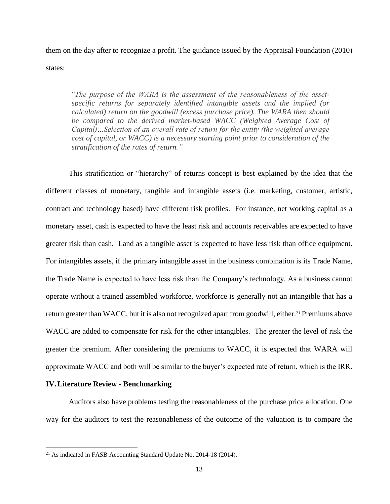them on the day after to recognize a profit. The guidance issued by the Appraisal Foundation (2010) states:

*"The purpose of the WARA is the assessment of the reasonableness of the assetspecific returns for separately identified intangible assets and the implied (or calculated) return on the goodwill (excess purchase price). The WARA then should be compared to the derived market-based WACC (Weighted Average Cost of Capital)…Selection of an overall rate of return for the entity (the weighted average cost of capital, or WACC) is a necessary starting point prior to consideration of the stratification of the rates of return."*

This stratification or "hierarchy" of returns concept is best explained by the idea that the different classes of monetary, tangible and intangible assets (i.e. marketing, customer, artistic, contract and technology based) have different risk profiles. For instance, net working capital as a monetary asset, cash is expected to have the least risk and accounts receivables are expected to have greater risk than cash. Land as a tangible asset is expected to have less risk than office equipment. For intangibles assets, if the primary intangible asset in the business combination is its Trade Name, the Trade Name is expected to have less risk than the Company's technology. As a business cannot operate without a trained assembled workforce, workforce is generally not an intangible that has a return greater than WACC, but it is also not recognized apart from goodwill, either.<sup>21</sup> Premiums above WACC are added to compensate for risk for the other intangibles. The greater the level of risk the greater the premium. After considering the premiums to WACC, it is expected that WARA will approximate WACC and both will be similar to the buyer's expected rate of return, which is the IRR.

#### **IV.Literature Review - Benchmarking**

 $\overline{a}$ 

Auditors also have problems testing the reasonableness of the purchase price allocation. One way for the auditors to test the reasonableness of the outcome of the valuation is to compare the

<sup>21</sup> As indicated in FASB Accounting Standard Update No. 2014-18 (2014).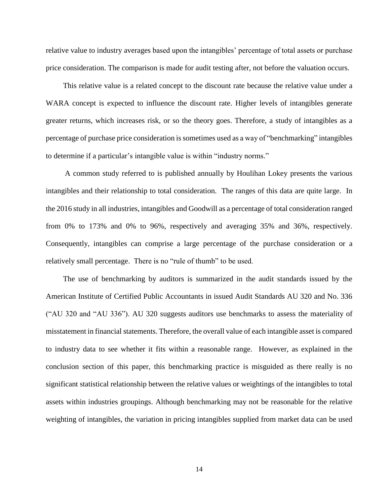relative value to industry averages based upon the intangibles' percentage of total assets or purchase price consideration. The comparison is made for audit testing after, not before the valuation occurs.

This relative value is a related concept to the discount rate because the relative value under a WARA concept is expected to influence the discount rate. Higher levels of intangibles generate greater returns, which increases risk, or so the theory goes. Therefore, a study of intangibles as a percentage of purchase price consideration is sometimes used as a way of "benchmarking" intangibles to determine if a particular's intangible value is within "industry norms."

A common study referred to is published annually by Houlihan Lokey presents the various intangibles and their relationship to total consideration. The ranges of this data are quite large. In the 2016 study in all industries, intangibles and Goodwill as a percentage of total consideration ranged from 0% to 173% and 0% to 96%, respectively and averaging 35% and 36%, respectively. Consequently, intangibles can comprise a large percentage of the purchase consideration or a relatively small percentage. There is no "rule of thumb" to be used.

The use of benchmarking by auditors is summarized in the audit standards issued by the American Institute of Certified Public Accountants in issued Audit Standards AU 320 and No. 336 ("AU 320 and "AU 336"). AU 320 suggests auditors use benchmarks to assess the materiality of misstatement in financial statements. Therefore, the overall value of each intangible asset is compared to industry data to see whether it fits within a reasonable range. However, as explained in the conclusion section of this paper, this benchmarking practice is misguided as there really is no significant statistical relationship between the relative values or weightings of the intangibles to total assets within industries groupings. Although benchmarking may not be reasonable for the relative weighting of intangibles, the variation in pricing intangibles supplied from market data can be used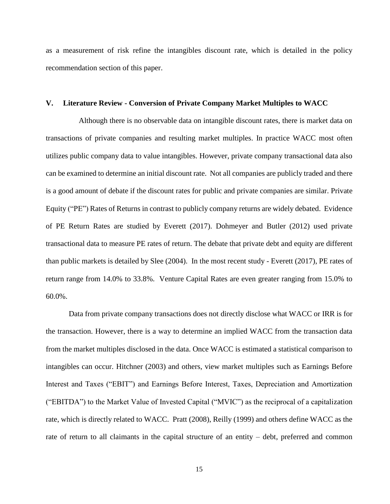as a measurement of risk refine the intangibles discount rate, which is detailed in the policy recommendation section of this paper.

#### **V. Literature Review - Conversion of Private Company Market Multiples to WACC**

Although there is no observable data on intangible discount rates, there is market data on transactions of private companies and resulting market multiples. In practice WACC most often utilizes public company data to value intangibles. However, private company transactional data also can be examined to determine an initial discount rate. Not all companies are publicly traded and there is a good amount of debate if the discount rates for public and private companies are similar. Private Equity ("PE") Rates of Returns in contrast to publicly company returns are widely debated. Evidence of PE Return Rates are studied by Everett (2017). Dohmeyer and Butler (2012) used private transactional data to measure PE rates of return. The debate that private debt and equity are different than public markets is detailed by Slee (2004). In the most recent study - Everett (2017), PE rates of return range from 14.0% to 33.8%. Venture Capital Rates are even greater ranging from 15.0% to 60.0%.

Data from private company transactions does not directly disclose what WACC or IRR is for the transaction. However, there is a way to determine an implied WACC from the transaction data from the market multiples disclosed in the data. Once WACC is estimated a statistical comparison to intangibles can occur. Hitchner (2003) and others, view market multiples such as Earnings Before Interest and Taxes ("EBIT") and Earnings Before Interest, Taxes, Depreciation and Amortization ("EBITDA") to the Market Value of Invested Capital ("MVIC") as the reciprocal of a capitalization rate, which is directly related to WACC. Pratt (2008), Reilly (1999) and others define WACC as the rate of return to all claimants in the capital structure of an entity – debt, preferred and common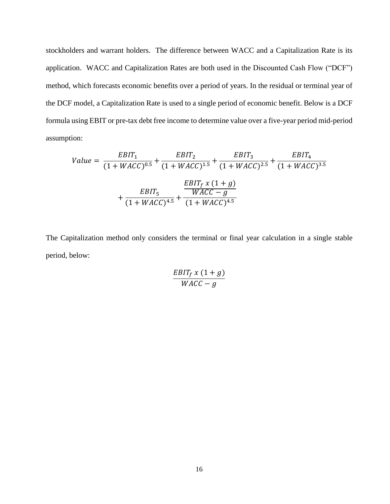stockholders and warrant holders. The difference between WACC and a Capitalization Rate is its application. WACC and Capitalization Rates are both used in the Discounted Cash Flow ("DCF") method, which forecasts economic benefits over a period of years. In the residual or terminal year of the DCF model, a Capitalization Rate is used to a single period of economic benefit. Below is a DCF formula using EBIT or pre-tax debt free income to determine value over a five-year period mid-period assumption:

Value = 
$$
\frac{EBIT_1}{(1 + WACC)^{0.5}} + \frac{EBIT_2}{(1 + WACC)^{1.5}} + \frac{EBIT_3}{(1 + WACC)^{2.5}} + \frac{EBIT_4}{(1 + WACC)^{3.5}}
$$

$$
+ \frac{EBIT_5}{(1 + WACC)^{4.5}} + \frac{EBIT_f \times (1 + g)}{(1 + WACC)^{4.5}}
$$

The Capitalization method only considers the terminal or final year calculation in a single stable period, below:

$$
\frac{EBIT_f x (1+g)}{WACC - g}
$$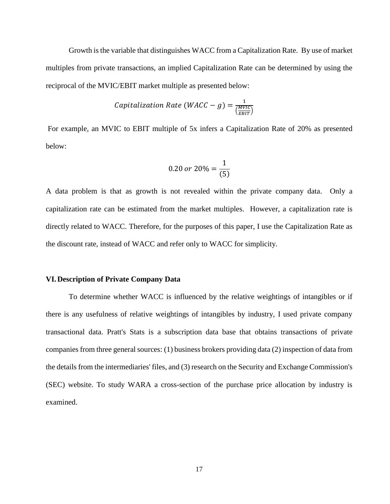Growth is the variable that distinguishes WACC from a Capitalization Rate. By use of market multiples from private transactions, an implied Capitalization Rate can be determined by using the reciprocal of the MVIC/EBIT market multiple as presented below:

*Capitalization Rate (WACC - g)* = 
$$
\frac{1}{\frac{(MVIC)}{(EBIT)}}
$$

For example, an MVIC to EBIT multiple of 5x infers a Capitalization Rate of 20% as presented below:

$$
0.20 \text{ or } 20\% = \frac{1}{(5)}
$$

A data problem is that as growth is not revealed within the private company data. Only a capitalization rate can be estimated from the market multiples. However, a capitalization rate is directly related to WACC. Therefore, for the purposes of this paper, I use the Capitalization Rate as the discount rate, instead of WACC and refer only to WACC for simplicity.

#### **VI.Description of Private Company Data**

To determine whether WACC is influenced by the relative weightings of intangibles or if there is any usefulness of relative weightings of intangibles by industry, I used private company transactional data. Pratt's Stats is a subscription data base that obtains transactions of private companies from three general sources: (1) business brokers providing data (2) inspection of data from the details from the intermediaries' files, and (3) research on the Security and Exchange Commission's (SEC) website. To study WARA a cross-section of the purchase price allocation by industry is examined.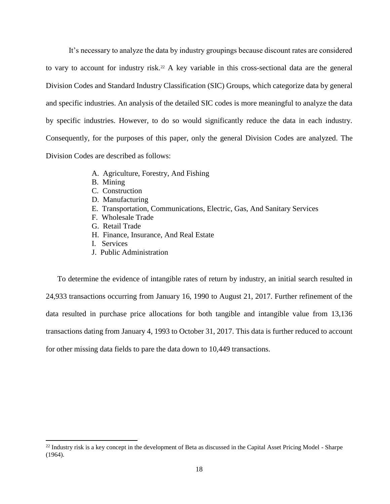It's necessary to analyze the data by industry groupings because discount rates are considered to vary to account for industry risk.<sup>22</sup> A key variable in this cross-sectional data are the general Division Codes and Standard Industry Classification (SIC) Groups, which categorize data by general and specific industries. An analysis of the detailed SIC codes is more meaningful to analyze the data by specific industries. However, to do so would significantly reduce the data in each industry. Consequently, for the purposes of this paper, only the general Division Codes are analyzed. The Division Codes are described as follows:

- A. Agriculture, Forestry, And Fishing
- B. Mining
- C. Construction
- D. Manufacturing
- E. Transportation, Communications, Electric, Gas, And Sanitary Services
- F. Wholesale Trade
- G. Retail Trade
- H. Finance, Insurance, And Real Estate
- I. Services

 $\overline{a}$ 

J. Public Administration

To determine the evidence of intangible rates of return by industry, an initial search resulted in 24,933 transactions occurring from January 16, 1990 to August 21, 2017. Further refinement of the data resulted in purchase price allocations for both tangible and intangible value from 13,136 transactions dating from January 4, 1993 to October 31, 2017. This data is further reduced to account for other missing data fields to pare the data down to 10,449 transactions.

<sup>&</sup>lt;sup>22</sup> Industry risk is a key concept in the development of Beta as discussed in the Capital Asset Pricing Model - Sharpe (1964).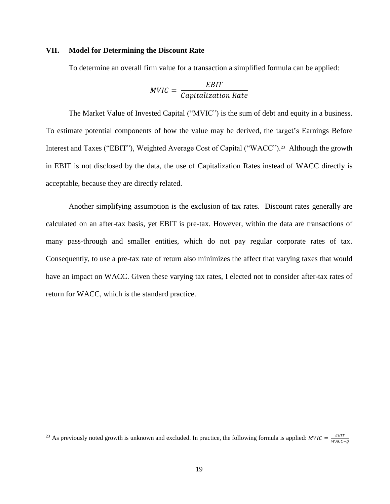#### **VII. Model for Determining the Discount Rate**

To determine an overall firm value for a transaction a simplified formula can be applied:

$$
MVIC = \frac{EBIT}{Capitalization Rate}
$$

The Market Value of Invested Capital ("MVIC") is the sum of debt and equity in a business. To estimate potential components of how the value may be derived, the target's Earnings Before Interest and Taxes ("EBIT"), Weighted Average Cost of Capital ("WACC"). <sup>23</sup> Although the growth in EBIT is not disclosed by the data, the use of Capitalization Rates instead of WACC directly is acceptable, because they are directly related.

Another simplifying assumption is the exclusion of tax rates. Discount rates generally are calculated on an after-tax basis, yet EBIT is pre-tax. However, within the data are transactions of many pass-through and smaller entities, which do not pay regular corporate rates of tax. Consequently, to use a pre-tax rate of return also minimizes the affect that varying taxes that would have an impact on WACC. Given these varying tax rates, I elected not to consider after-tax rates of return for WACC, which is the standard practice.

 $\overline{a}$ 

<sup>&</sup>lt;sup>23</sup> As previously noted growth is unknown and excluded. In practice, the following formula is applied:  $MVIC = \frac{EBIT}{WAC}$ WACC-g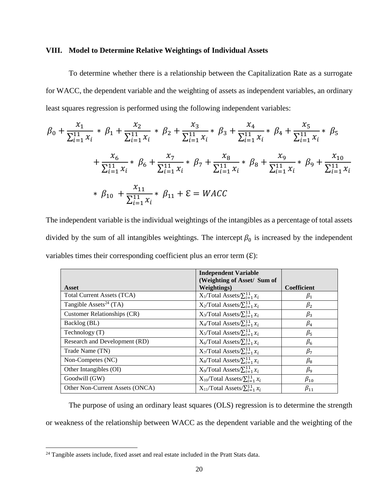#### **VIII. Model to Determine Relative Weightings of Individual Assets**

To determine whether there is a relationship between the Capitalization Rate as a surrogate for WACC, the dependent variable and the weighting of assets as independent variables, an ordinary least squares regression is performed using the following independent variables:

$$
\beta_0 + \frac{x_1}{\sum_{i=1}^{11} x_i} * \beta_1 + \frac{x_2}{\sum_{i=1}^{11} x_i} * \beta_2 + \frac{x_3}{\sum_{i=1}^{11} x_i} * \beta_3 + \frac{x_4}{\sum_{i=1}^{11} x_i} * \beta_4 + \frac{x_5}{\sum_{i=1}^{11} x_i} * \beta_5
$$
  
+ 
$$
\frac{x_6}{\sum_{i=1}^{11} x_i} * \beta_6 + \frac{x_7}{\sum_{i=1}^{11} x_i} * \beta_7 + \frac{x_8}{\sum_{i=1}^{11} x_i} * \beta_8 + \frac{x_9}{\sum_{i=1}^{11} x_i} * \beta_9 + \frac{x_{10}}{\sum_{i=1}^{11} x_i}
$$
  
\* 
$$
\beta_{10} + \frac{x_{11}}{\sum_{i=1}^{11} x_i} * \beta_{11} + \varepsilon = WACC
$$

The independent variable is the individual weightings of the intangibles as a percentage of total assets divided by the sum of all intangibles weightings. The intercept  $\beta_0$  is increased by the independent variables times their corresponding coefficient plus an error term  $(E)$ :

|                                    | <b>Independent Variable</b><br>(Weighting of Asset/ Sum of |                    |
|------------------------------------|------------------------------------------------------------|--------------------|
| Asset                              | <b>Weightings</b> )                                        | <b>Coefficient</b> |
| Total Current Assets (TCA)         | $X_1$ /Total Assets/ $\sum_{i=1}^{11} x_i$                 | $\beta_1$          |
| Tangible Assets <sup>24</sup> (TA) | $X_2$ Total Assets/ $\sum_{i=1}^{11} x_i$                  | $\beta_2$          |
| Customer Relationships (CR)        | $X_3$ Total Assets/ $\sum_{i=1}^{11} x_i$                  | $\beta_3$          |
| Backlog (BL)                       | $X_4$ Total Assets/ $\sum_{i=1}^{11} x_i$                  | $\beta_4$          |
| Technology $(T)$                   | $X_5$ Total Assets/ $\sum_{i=1}^{11} x_i$                  | $\beta_{5}$        |
| Research and Development (RD)      | $X_6$ Total Assets/ $\sum_{i=1}^{11} x_i$                  | $\beta_6$          |
| Trade Name (TN)                    | $X_7$ Total Assets/ $\sum_{i=1}^{11} x_i$                  | $\beta_7$          |
| Non-Competes (NC)                  | $X_8$ Total Assets/ $\sum_{i=1}^{11} x_i$                  | $\beta_8$          |
| Other Intangibles (OI)             | $X_9$ Total Assets/ $\sum_{i=1}^{11} x_i$                  | $\beta_9$          |
| Goodwill (GW)                      | $X_{10}$ Total Assets/ $\sum_{i=1}^{11} x_i$               | $\beta_{10}$       |
| Other Non-Current Assets (ONCA)    | $X_{11}$ Total Assets/ $\sum_{i=1}^{11} x_i$               | $\beta_{11}$       |

The purpose of using an ordinary least squares (OLS) regression is to determine the strength or weakness of the relationship between WACC as the dependent variable and the weighting of the

 $\overline{a}$ 

<sup>&</sup>lt;sup>24</sup> Tangible assets include, fixed asset and real estate included in the Pratt Stats data.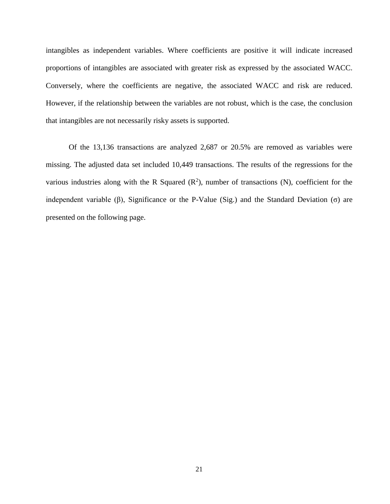intangibles as independent variables. Where coefficients are positive it will indicate increased proportions of intangibles are associated with greater risk as expressed by the associated WACC. Conversely, where the coefficients are negative, the associated WACC and risk are reduced. However, if the relationship between the variables are not robust, which is the case, the conclusion that intangibles are not necessarily risky assets is supported.

Of the 13,136 transactions are analyzed 2,687 or 20.5% are removed as variables were missing. The adjusted data set included 10,449 transactions. The results of the regressions for the various industries along with the R Squared  $(R^2)$ , number of transactions (N), coefficient for the independent variable (β), Significance or the P-Value (Sig.) and the Standard Deviation (σ) are presented on the following page.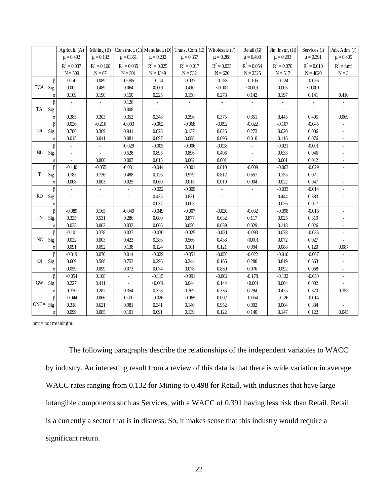|             |          | Agricult. (A) | Mining (B)     | Construct. (C) Manufact. (D) |                | Trans. Com. (E) | Wholesale (F) | Retail (G)    | Fin. Insur. (H) | Services (I)  | Pub. Adm. $(J)$ |
|-------------|----------|---------------|----------------|------------------------------|----------------|-----------------|---------------|---------------|-----------------|---------------|-----------------|
|             |          | $\mu = 0.492$ | $\mu = 0.132$  | $\mu = 0.361$                | $\mu = 0.232$  | $\mu = 0.357$   | $\mu = 0.288$ | $\mu = 0.498$ | $\mu = 0.293$   | $\mu = 0.391$ | $\mu = 0.405$   |
|             |          | $R^2 = 0.037$ | $R^2 = 0.166$  | $R^2 = 0.035$                | $R^2 = 0.025$  | $R^2 = 0.017$   | $R^2 = 0.035$ | $R^2 = 0.054$ | $R^2 = 0.070$   | $R^2 = 0.010$ | $R^2 = nmf$     |
|             |          | $N = 509$     | $N = 67$       | $N = 501$                    | $N = 1349$     | $N = 532$       | $N = 626$     | $N = 2325$    | $N = 517$       | $N = 4020$    | $N = 3$         |
|             | β        | $-0.141$      | 0.089          | $-0.085$                     | $-0.114$       | $-0.037$        | $-0.158$      | $-0.105$      | $-0.124$        | $-0.056$      |                 |
| TCA Sig.    |          | 0.002         | 0.489          | 0.064                        | < 0.001        | 0.410           | < 0.001       | < 0.001       | 0.005           | < 0.001       |                 |
|             | σ        | 0.109         | 0.190          | 0.150                        | 0.225          | 0.150           | 0.278         | 0.142         | 0.197           | 0.141         | 0.410           |
|             | β        |               |                | 0.126                        |                |                 |               |               |                 |               |                 |
| TA          | Sig.     | $\bar{a}$     | $\overline{a}$ | 0.008                        | $\overline{a}$ | ä,              |               |               |                 |               |                 |
|             | $\sigma$ | 0.385         | 0.303          | 0.352                        | 0.348          | 0.396           | 0.375         | 0.351         | 0.445           | 0.405         | 0.069           |
|             | $\beta$  | 0.026         | $-0.216$       | $-0.003$                     | $-0.062$       | $-0.068$        | $-0.092$      | $-0.022$      | $-0.107$        | $-0.045$      |                 |
| CR          | Sig.     | 0.786         | 0.369          | 0.941                        | 0.028          | 0.137           | 0.025         | 0.273         | 0.020           | 0.006         |                 |
|             | $\sigma$ | 0.015         | 0.041          | 0.081                        | 0.097          | 0.088           | 0.096         | 0.010         | 0.116           | 0.076         |                 |
|             | $\beta$  |               |                | $-0.029$                     | $-0.005$       | $-0.006$        | $-0.028$      |               | $-0.021$        | $-0.001$      |                 |
| BL          | Sig.     |               | ÷,             | 0.528                        | 0.895          | 0.896           | 0.496         |               | 0.633           | 0.946         |                 |
|             | $\sigma$ |               | 0.000          | 0.003                        | 0.015          | 0.002           | 0.001         |               | 0.001           | 0.012         |                 |
|             | $\beta$  | $-0.140$      | $-0.055$       | $-0.031$                     | $-0.044$       | $-0.001$        | 0.010         | $-0.009$      | $-0.063$        | $-0.029$      |                 |
| T           | Sig.     | 0.785         | 0.736          | 0.488                        | 0.126          | 0.979           | 0.812         | 0.657         | 0.155           | 0.071         |                 |
|             | $\sigma$ | 0.008         | 0.003          | 0.025                        | 0.060          | 0.015           | 0.019         | 0.004         | 0.022           | 0.047         |                 |
|             | β        |               |                |                              | $-0.022$       | $-0.009$        |               |               | $-0.033$        | $-0.014$      |                 |
| RD          | Sig.     |               |                |                              | 0.435          | 0.831           |               |               | 0.444           | 0.383         |                 |
|             | $\sigma$ |               |                |                              | 0.037          | 0.003           |               |               | 0.026           | 0.017         |                 |
|             | β        | $-0.089$      | 0.165          | $-0.049$                     | $-0.049$       | $-0.007$        | $-0.020$      | $-0.032$      | $-0.098$        | $-0.016$      |                 |
| TN          | Sig.     | 0.335         | 0.531          | 0.286                        | 0.080          | 0.877           | 0.632         | 0.117         | 0.025           | 0.319         |                 |
|             | $\sigma$ | 0.033         | 0.002          | 0.032                        | 0.066          | 0.050           | 0.039         | 0.029         | 0.118           | 0.026         |                 |
|             | β        | $-0.101$      | 0.378          | 0.037                        | $-0.030$       | $-0.025$        | $-0.031$      | $-0.093$      | 0.078           | $-0.035$      |                 |
| NC          | Sig.     | 0.022         | 0.003          | 0.423                        | 0.286          | 0.566           | 0.438         | < 0.001       | 0.072           | 0.027         |                 |
|             | $\sigma$ | 0.091         | 0.092          | 0.138                        | 0.124          | 0.101           | 0.121         | 0.094         | 0.088           | 0.120         | 0.087           |
|             | β        | $-0.019$      | 0.070          | 0.014                        | $-0.029$       | $-0.051$        | $-0.056$      | $-0.022$      | $-0.010$        | $-0.007$      |                 |
| O           | Sig.     | 0.669         | 0.568          | 0.753                        | 0.296          | 0.244           | 0.166         | 0.280         | 0.819           | 0.663         |                 |
|             | $\sigma$ | 0.059         | 0.099          | 0.073                        | 0.074          | 0.078           | 0.830         | 0.076         | 0.092           | 0.068         |                 |
|             | β        | $-0.054$      | 0.108          |                              | $-0.115$       | $-0.091$        | $-0.062$      | $-0.178$      | $-0.132$        | $-0.050$      |                 |
| $\mbox{GW}$ | Sig.     | 0.227         | 0.411          | $\overline{\phantom{a}}$     | $<0.001$       | 0.044           | 0.144         | $<0.001$      | $0.004\,$       | 0.002         |                 |
|             | $\sigma$ | 0.370         | 0.287          | 0.354                        | 0.328          | 0.369           | 0.335         | 0.294         | 0.425           | 0.370         | 0.355           |
|             | $\beta$  | $-0.044$      | 0.066          | $-0.001$                     | $-0.026$       | $-0.065$        | 0.002         | $-0.064$      | $-0.126$        | $-0.014$      |                 |
| ONCA Sig.   |          | 0.318         | 0.621          | 0.981                        | 0.341          | 0.140           | 0.952         | 0.002         | $0.004\,$       | 0.384         |                 |
|             | $\sigma$ | 0.099         | 0.085          | 0.101                        | 0.091          | 0.139           | 0.122         | 0.140         | 0.147           | 0.122         | 0.045           |

nmf = not meaningful

The following paragraphs describe the relationships of the independent variables to WACC by industry. An interesting result from a review of this data is that there is wide variation in average WACC rates ranging from 0.132 for Mining to 0.498 for Retail, with industries that have large intangible components such as Services, with a WACC of 0.391 having less risk than Retail. Retail is a currently a sector that is in distress. So, it makes sense that this industry would require a significant return.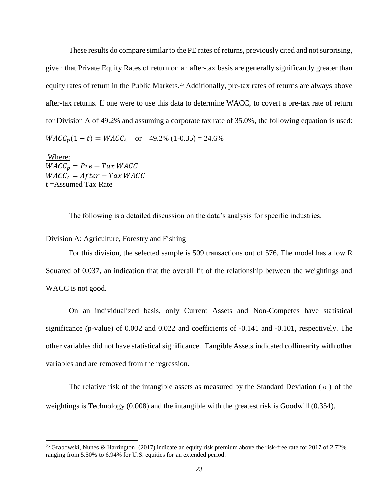These results do compare similar to the PE rates of returns, previously cited and not surprising, given that Private Equity Rates of return on an after-tax basis are generally significantly greater than equity rates of return in the Public Markets.<sup>25</sup> Additionally, pre-tax rates of returns are always above after-tax returns. If one were to use this data to determine WACC, to covert a pre-tax rate of return for Division A of 49.2% and assuming a corporate tax rate of 35.0%, the following equation is used:  $WACC_n(1-t) = WACC_A$  or 49.2% (1-0.35) = 24.6%

Where:  $WACC_p = Pre - Tax WACC$  $WACC_A = After - Tax WACC$ t =Assumed Tax Rate

 $\overline{a}$ 

The following is a detailed discussion on the data's analysis for specific industries.

#### Division A: Agriculture, Forestry and Fishing

For this division, the selected sample is 509 transactions out of 576. The model has a low R Squared of 0.037, an indication that the overall fit of the relationship between the weightings and WACC is not good.

On an individualized basis, only Current Assets and Non-Competes have statistical significance (p-value) of 0.002 and 0.022 and coefficients of -0.141 and -0.101, respectively. The other variables did not have statistical significance. Tangible Assets indicated collinearity with other variables and are removed from the regression.

The relative risk of the intangible assets as measured by the Standard Deviation ( $\sigma$ ) of the weightings is Technology (0.008) and the intangible with the greatest risk is Goodwill (0.354).

<sup>&</sup>lt;sup>25</sup> Grabowski, Nunes & Harrington (2017) indicate an equity risk premium above the risk-free rate for 2017 of 2.72% ranging from 5.50% to 6.94% for U.S. equities for an extended period.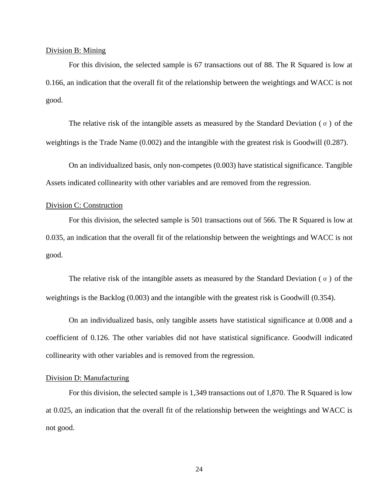#### Division B: Mining

For this division, the selected sample is 67 transactions out of 88. The R Squared is low at 0.166, an indication that the overall fit of the relationship between the weightings and WACC is not good.

The relative risk of the intangible assets as measured by the Standard Deviation ( $\sigma$ ) of the weightings is the Trade Name (0.002) and the intangible with the greatest risk is Goodwill (0.287).

On an individualized basis, only non-competes (0.003) have statistical significance. Tangible Assets indicated collinearity with other variables and are removed from the regression.

#### Division C: Construction

For this division, the selected sample is 501 transactions out of 566. The R Squared is low at 0.035, an indication that the overall fit of the relationship between the weightings and WACC is not good.

The relative risk of the intangible assets as measured by the Standard Deviation ( $\sigma$ ) of the weightings is the Backlog (0.003) and the intangible with the greatest risk is Goodwill (0.354).

On an individualized basis, only tangible assets have statistical significance at 0.008 and a coefficient of 0.126. The other variables did not have statistical significance. Goodwill indicated collinearity with other variables and is removed from the regression.

### Division D: Manufacturing

For this division, the selected sample is 1,349 transactions out of 1,870. The R Squared is low at 0.025, an indication that the overall fit of the relationship between the weightings and WACC is not good.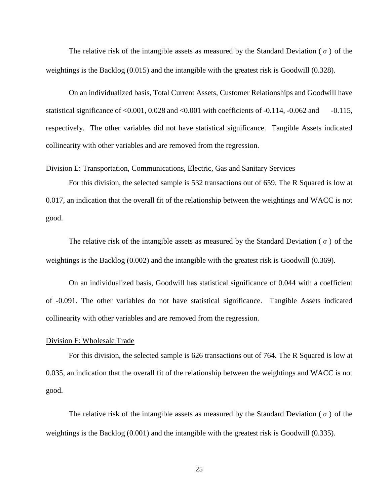The relative risk of the intangible assets as measured by the Standard Deviation ( $\sigma$ ) of the weightings is the Backlog (0.015) and the intangible with the greatest risk is Goodwill (0.328).

On an individualized basis, Total Current Assets, Customer Relationships and Goodwill have statistical significance of  $\langle 0.001, 0.028 \rangle$  and  $\langle 0.001 \rangle$  with coefficients of  $-0.114, -0.062 \rangle$  and  $-0.115$ , respectively. The other variables did not have statistical significance. Tangible Assets indicated collinearity with other variables and are removed from the regression.

#### Division E: Transportation, Communications, Electric, Gas and Sanitary Services

For this division, the selected sample is 532 transactions out of 659. The R Squared is low at 0.017, an indication that the overall fit of the relationship between the weightings and WACC is not good.

The relative risk of the intangible assets as measured by the Standard Deviation ( $\sigma$ ) of the weightings is the Backlog (0.002) and the intangible with the greatest risk is Goodwill (0.369).

On an individualized basis, Goodwill has statistical significance of 0.044 with a coefficient of -0.091. The other variables do not have statistical significance. Tangible Assets indicated collinearity with other variables and are removed from the regression.

#### Division F: Wholesale Trade

For this division, the selected sample is 626 transactions out of 764. The R Squared is low at 0.035, an indication that the overall fit of the relationship between the weightings and WACC is not good.

The relative risk of the intangible assets as measured by the Standard Deviation ( $\sigma$ ) of the weightings is the Backlog (0.001) and the intangible with the greatest risk is Goodwill (0.335).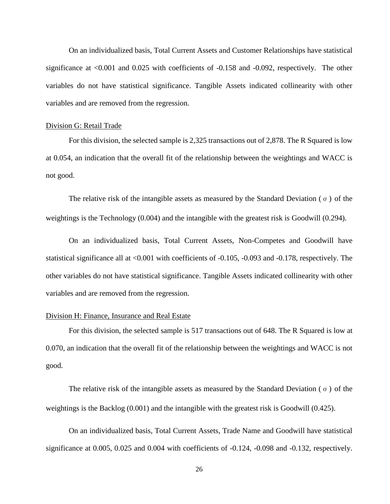On an individualized basis, Total Current Assets and Customer Relationships have statistical significance at <0.001 and 0.025 with coefficients of -0.158 and -0.092, respectively. The other variables do not have statistical significance. Tangible Assets indicated collinearity with other variables and are removed from the regression.

#### Division G: Retail Trade

For this division, the selected sample is 2,325 transactions out of 2,878. The R Squared is low at 0.054, an indication that the overall fit of the relationship between the weightings and WACC is not good.

The relative risk of the intangible assets as measured by the Standard Deviation ( $\sigma$ ) of the weightings is the Technology (0.004) and the intangible with the greatest risk is Goodwill (0.294).

On an individualized basis, Total Current Assets, Non-Competes and Goodwill have statistical significance all at <0.001 with coefficients of -0.105, -0.093 and -0.178, respectively. The other variables do not have statistical significance. Tangible Assets indicated collinearity with other variables and are removed from the regression.

#### Division H: Finance, Insurance and Real Estate

For this division, the selected sample is 517 transactions out of 648. The R Squared is low at 0.070, an indication that the overall fit of the relationship between the weightings and WACC is not good.

The relative risk of the intangible assets as measured by the Standard Deviation ( $\sigma$ ) of the weightings is the Backlog (0.001) and the intangible with the greatest risk is Goodwill (0.425).

On an individualized basis, Total Current Assets, Trade Name and Goodwill have statistical significance at 0.005, 0.025 and 0.004 with coefficients of -0.124, -0.098 and -0.132, respectively.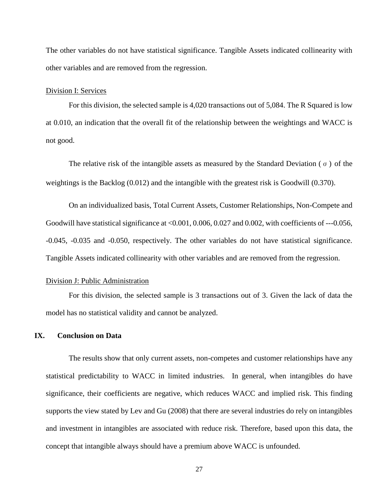The other variables do not have statistical significance. Tangible Assets indicated collinearity with other variables and are removed from the regression.

#### Division I: Services

For this division, the selected sample is 4,020 transactions out of 5,084. The R Squared is low at 0.010, an indication that the overall fit of the relationship between the weightings and WACC is not good.

The relative risk of the intangible assets as measured by the Standard Deviation ( $\sigma$ ) of the weightings is the Backlog (0.012) and the intangible with the greatest risk is Goodwill (0.370).

On an individualized basis, Total Current Assets, Customer Relationships, Non-Compete and Goodwill have statistical significance at <0.001, 0.006, 0.027 and 0.002, with coefficients of ---0.056, -0.045, -0.035 and -0.050, respectively. The other variables do not have statistical significance. Tangible Assets indicated collinearity with other variables and are removed from the regression.

#### Division J: Public Administration

For this division, the selected sample is 3 transactions out of 3. Given the lack of data the model has no statistical validity and cannot be analyzed.

#### **IX. Conclusion on Data**

The results show that only current assets, non-competes and customer relationships have any statistical predictability to WACC in limited industries. In general, when intangibles do have significance, their coefficients are negative, which reduces WACC and implied risk. This finding supports the view stated by Lev and Gu (2008) that there are several industries do rely on intangibles and investment in intangibles are associated with reduce risk. Therefore, based upon this data, the concept that intangible always should have a premium above WACC is unfounded.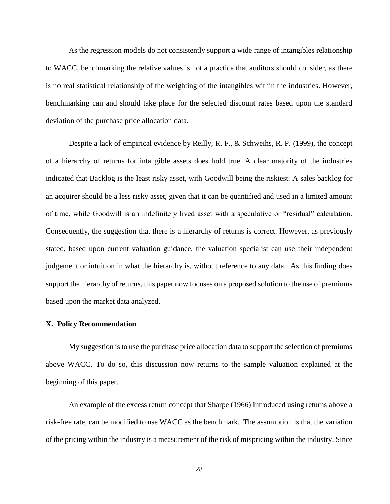As the regression models do not consistently support a wide range of intangibles relationship to WACC, benchmarking the relative values is not a practice that auditors should consider, as there is no real statistical relationship of the weighting of the intangibles within the industries. However, benchmarking can and should take place for the selected discount rates based upon the standard deviation of the purchase price allocation data.

Despite a lack of empirical evidence by Reilly, R. F., & Schweihs, R. P. (1999), the concept of a hierarchy of returns for intangible assets does hold true. A clear majority of the industries indicated that Backlog is the least risky asset, with Goodwill being the riskiest. A sales backlog for an acquirer should be a less risky asset, given that it can be quantified and used in a limited amount of time, while Goodwill is an indefinitely lived asset with a speculative or "residual" calculation. Consequently, the suggestion that there is a hierarchy of returns is correct. However, as previously stated, based upon current valuation guidance, the valuation specialist can use their independent judgement or intuition in what the hierarchy is, without reference to any data. As this finding does support the hierarchy of returns, this paper now focuses on a proposed solution to the use of premiums based upon the market data analyzed.

#### **X. Policy Recommendation**

My suggestion is to use the purchase price allocation data to support the selection of premiums above WACC. To do so, this discussion now returns to the sample valuation explained at the beginning of this paper.

An example of the excess return concept that Sharpe (1966) introduced using returns above a risk-free rate, can be modified to use WACC as the benchmark. The assumption is that the variation of the pricing within the industry is a measurement of the risk of mispricing within the industry. Since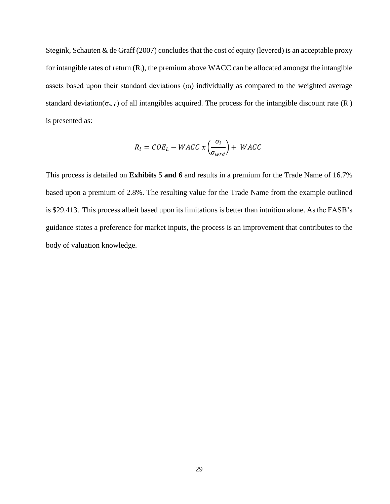Stegink, Schauten & de Graff (2007) concludes that the cost of equity (levered) is an acceptable proxy for intangible rates of return  $(R_i)$ , the premium above WACC can be allocated amongst the intangible assets based upon their standard deviations  $(\sigma_i)$  individually as compared to the weighted average standard deviation( $\sigma_{wtd}$ ) of all intangibles acquired. The process for the intangible discount rate ( $R_i$ ) is presented as:

$$
R_i = COE_L - WACC \times \left(\frac{\sigma_i}{\sigma_{wtd}}\right) + WACC
$$

This process is detailed on **Exhibits 5 and 6** and results in a premium for the Trade Name of 16.7% based upon a premium of 2.8%. The resulting value for the Trade Name from the example outlined is \$29.413. This process albeit based upon its limitations is better than intuition alone. As the FASB's guidance states a preference for market inputs, the process is an improvement that contributes to the body of valuation knowledge.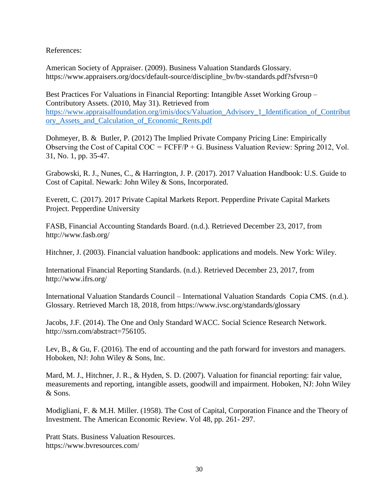References:

American Society of Appraiser. (2009). Business Valuation Standards Glossary. [https://www.appraisers.org/docs/default-source/discipline\\_bv/bv-standards.pdf?sfvrsn=0](https://www.appraisers.org/docs/default-source/discipline_bv/bv-standards.pdf?sfvrsn=0)

Best Practices For Valuations in Financial Reporting: Intangible Asset Working Group – Contributory Assets. (2010, May 31). Retrieved from [https://www.appraisalfoundation.org/imis/docs/Valuation\\_Advisory\\_1\\_Identification\\_of\\_Contribut](https://www.appraisalfoundation.org/imis/docs/Valuation_Advisory_1_Identification_of_Contributory_Assets_and_Calculation_of_Economic_Rents.pdf) [ory\\_Assets\\_and\\_Calculation\\_of\\_Economic\\_Rents.pdf](https://www.appraisalfoundation.org/imis/docs/Valuation_Advisory_1_Identification_of_Contributory_Assets_and_Calculation_of_Economic_Rents.pdf)

Dohmeyer, B. & Butler, P. (2012) The Implied Private Company Pricing Line: Empirically Observing the Cost of Capital  $COC = FCFF/P + G$ . Business Valuation Review: Spring 2012, Vol. 31, No. 1, pp. 35-47.

Grabowski, R. J., Nunes, C., & Harrington, J. P. (2017). 2017 Valuation Handbook: U.S. Guide to Cost of Capital. Newark: John Wiley & Sons, Incorporated.

Everett, C. (2017). 2017 Private Capital Markets Report. Pepperdine Private Capital Markets Project. Pepperdine University

FASB, Financial Accounting Standards Board. (n.d.). Retrieved December 23, 2017, from <http://www.fasb.org/>

Hitchner, J. (2003). Financial valuation handbook: applications and models. New York: Wiley.

International Financial Reporting Standards. (n.d.). Retrieved December 23, 2017, from <http://www.ifrs.org/>

International Valuation Standards Council – International Valuation Standards Copia CMS. (n.d.). Glossary. Retrieved March 18, 2018, from https://www.ivsc.org/standards/glossary

Jacobs, J.F. (2014). The One and Only Standard WACC. Social Science Research Network. [http://ssrn.com/abstract=756105.](http://ssrn.com/abstract=756105)

Lev, B., & Gu, F. (2016). The end of accounting and the path forward for investors and managers. Hoboken, NJ: John Wiley & Sons, Inc.

Mard, M. J., Hitchner, J. R., & Hyden, S. D. (2007). Valuation for financial reporting: fair value, measurements and reporting, intangible assets, goodwill and impairment. Hoboken, NJ: John Wiley & Sons.

Modigliani, F. & M.H. Miller. (1958). The Cost of Capital, Corporation Finance and the Theory of Investment. The American Economic Review. Vol 48, pp. 261- 297.

Pratt Stats. Business Valuation Resources. https://www.bvresources.com/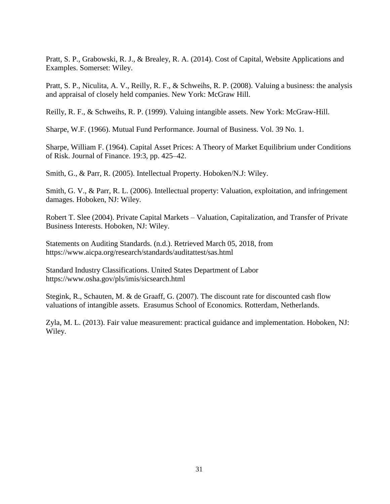Pratt, S. P., Grabowski, R. J., & Brealey, R. A. (2014). Cost of Capital, Website Applications and Examples. Somerset: Wiley.

Pratt, S. P., Niculita, A. V., Reilly, R. F., & Schweihs, R. P. (2008). Valuing a business: the analysis and appraisal of closely held companies. New York: McGraw Hill.

Reilly, R. F., & Schweihs, R. P. (1999). Valuing intangible assets. New York: McGraw-Hill.

Sharpe, W.F. (1966). Mutual Fund Performance. Journal of Business. Vol. 39 No. 1.

Sharpe, William F. (1964). Capital Asset Prices: A Theory of Market Equilibrium under Conditions of Risk. Journal of Finance. 19:3, pp. 425–42.

Smith, G., & Parr, R. (2005). Intellectual Property. Hoboken/N.J: Wiley.

Smith, G. V., & Parr, R. L. (2006). Intellectual property: Valuation, exploitation, and infringement damages. Hoboken, NJ: Wiley.

Robert T. Slee (2004). Private Capital Markets – Valuation, Capitalization, and Transfer of Private Business Interests. Hoboken, NJ: Wiley.

Statements on Auditing Standards. (n.d.). Retrieved March 05, 2018, from https://www.aicpa.org/research/standards/auditattest/sas.html

Standard Industry Classifications. United States Department of Labor <https://www.osha.gov/pls/imis/sicsearch.html>

Stegink, R., Schauten, M. & de Graaff, G. (2007). The discount rate for discounted cash flow valuations of intangible assets. Erasumus School of Economics. Rotterdam, Netherlands.

Zyla, M. L. (2013). Fair value measurement: practical guidance and implementation. Hoboken, NJ: Wiley.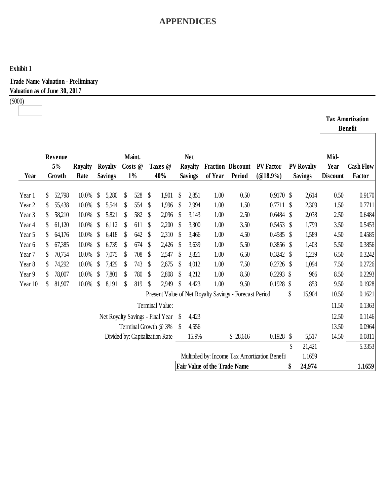## **Exhibit 1**

**Trade Name Valuation - Preliminary Valuation as of June 30, 2017**

(\$000)

|                   |                         |                        |                                  |                            |                           |                                  |                                                |                              |                                                        |                                                |                                     |                                 | <b>Tax Amortization</b><br><b>Benefit</b> |
|-------------------|-------------------------|------------------------|----------------------------------|----------------------------|---------------------------|----------------------------------|------------------------------------------------|------------------------------|--------------------------------------------------------|------------------------------------------------|-------------------------------------|---------------------------------|-------------------------------------------|
| Year              | Revenue<br>5%<br>Growth | <b>Royalty</b><br>Rate | <b>Royalty</b><br><b>Savings</b> | Maint.<br>Costs @<br>$1\%$ |                           | Taxes @<br>40%                   | <b>Net</b><br><b>Royalty</b><br><b>Savings</b> | of Year                      | Fraction Discount<br>Period                            | <b>PV</b> Factor<br>$(@18.9\%)$                | <b>PV Royalty</b><br><b>Savings</b> | Mid-<br>Year<br><b>Discount</b> | <b>Cash Flow</b><br>Factor                |
| Year 1            | \$<br>52,798            | 10.0%                  | \$<br>5,280                      | \$<br>528                  | $\boldsymbol{\mathsf{S}}$ | 1,901                            | \$<br>2,851                                    | 1.00                         | 0.50                                                   | $0.9170$ \$                                    | 2,614                               | 0.50                            | 0.9170                                    |
| Year <sub>2</sub> | \$<br>55,438            | 10.0%                  | \$<br>5,544                      | \$<br>554                  | \$                        | 1,996                            | \$<br>2,994                                    | 1.00                         | 1.50                                                   | $0.7711$ \$                                    | 2,309                               | 1.50                            | 0.7711                                    |
| Year 3            | \$<br>58,210            | 10.0%                  | \$<br>5,821                      | \$<br>582                  | $\boldsymbol{\mathsf{S}}$ | 2,096                            | \$<br>3,143                                    | 1.00                         | 2.50                                                   | $0.6484$ \$                                    | 2,038                               | 2.50                            | 0.6484                                    |
| Year <sub>4</sub> | \$<br>61,120            | 10.0%                  | \$<br>6,112                      | \$<br>611                  | \$                        | 2,200                            | \$<br>3,300                                    | 1.00                         | 3.50                                                   | $0.5453$ \$                                    | 1,799                               | 3.50                            | 0.5453                                    |
| Year 5            | \$<br>64,176            | 10.0%                  | \$<br>6,418                      | \$<br>642                  | $\boldsymbol{\mathsf{S}}$ | 2,310                            | \$<br>3,466                                    | 1.00                         | 4.50                                                   | $0.4585$ \$                                    | 1,589                               | 4.50                            | 0.4585                                    |
| Year 6            | \$<br>67,385            | 10.0%                  | \$<br>6,739                      | \$<br>674                  | \$                        | 2,426                            | \$<br>3,639                                    | 1.00                         | 5.50                                                   | $0.3856$ \$                                    | 1,403                               | 5.50                            | 0.3856                                    |
| Year 7            | \$<br>70,754            | $10.0\%$               | \$<br>7,075                      | \$<br>708                  | \$                        | 2,547                            | \$<br>3,821                                    | 1.00                         | 6.50                                                   | $0.3242$ \$                                    | 1,239                               | 6.50                            | 0.3242                                    |
| Year 8            | \$<br>74,292            | 10.0%                  | \$<br>7,429                      | \$<br>743                  | \$                        | 2,675                            | \$<br>4,012                                    | 1.00                         | 7.50                                                   | $0.2726$ \$                                    | 1,094                               | 7.50                            | 0.2726                                    |
| Year 9            | \$<br>78,007            | 10.0%                  | \$<br>7,801                      | \$<br>780                  | $\boldsymbol{\mathsf{S}}$ | 2,808                            | \$<br>4,212                                    | 1.00                         | 8.50                                                   | $0.2293$ \$                                    | 966                                 | 8.50                            | 0.2293                                    |
| Year 10           | \$<br>81,907            | 10.0%                  | \$<br>8,191                      | \$<br>819                  | $\boldsymbol{\S}$         | 2,949                            | \$<br>4,423                                    | 1.00                         | 9.50                                                   | $0.1928$ \$                                    | 853                                 | 9.50                            | 0.1928                                    |
|                   |                         |                        |                                  |                            |                           |                                  |                                                |                              | Present Value of Net Royalty Savings - Forecast Period |                                                | \$<br>15,904                        | 10.50                           | 0.1621                                    |
|                   |                         |                        |                                  |                            |                           | Terminal Value:                  |                                                |                              |                                                        |                                                |                                     | 11.50                           | 0.1363                                    |
|                   |                         |                        |                                  |                            |                           | Net Royalty Savings - Final Year | \$<br>4,423                                    |                              |                                                        |                                                |                                     | 12.50                           | 0.1146                                    |
|                   |                         |                        |                                  |                            |                           | Terminal Growth @ 3%             | \$<br>4,556                                    |                              |                                                        |                                                |                                     | 13.50                           | 0.0964                                    |
|                   |                         |                        |                                  |                            |                           | Divided by: Capitalization Rate  | 15.9%                                          |                              | \$28,616                                               | 0.1928                                         | \$<br>5,517                         | 14.50                           | 0.0811                                    |
|                   |                         |                        |                                  |                            |                           |                                  |                                                |                              |                                                        |                                                | \$<br>21,421                        |                                 | 5.3353                                    |
|                   |                         |                        |                                  |                            |                           |                                  |                                                |                              |                                                        | Multiplied by: Income Tax Amortization Benefit | 1.1659                              |                                 |                                           |
|                   |                         |                        |                                  |                            |                           |                                  |                                                | Fair Value of the Trade Name |                                                        |                                                | \$<br>24,974                        |                                 | 1.1659                                    |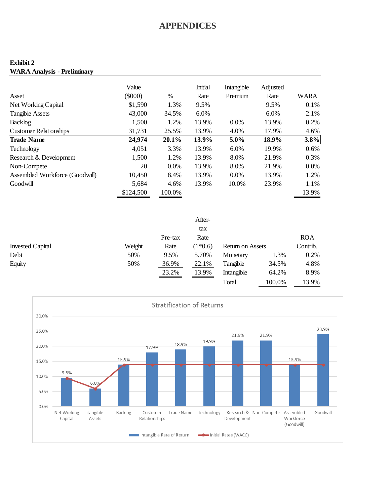### **Exhibit 2 WARA Analysis - Preliminary**

| Asset                          | Value<br>$(\$000)$ | $\%$    | <b>Initial</b><br>Rate | Intangible<br>Premium | Adjusted<br>Rate | <b>WARA</b> |
|--------------------------------|--------------------|---------|------------------------|-----------------------|------------------|-------------|
| Net Working Capital            | \$1,590            | 1.3%    | 9.5%                   |                       | 9.5%             | 0.1%        |
| <b>Tangible Assets</b>         | 43,000             | 34.5%   | 6.0%                   |                       | 6.0%             | 2.1%        |
| Backlog                        | 1,500              | 1.2%    | 13.9%                  | 0.0%                  | 13.9%            | 0.2%        |
| <b>Customer Relationships</b>  | 31,731             | 25.5%   | 13.9%                  | 4.0%                  | 17.9%            | 4.6%        |
| <b>Trade Name</b>              | 24,974             | 20.1%   | 13.9%                  | $5.0\%$               | 18.9%            | 3.8%        |
| Technology                     | 4,051              | 3.3%    | 13.9%                  | 6.0%                  | 19.9%            | 0.6%        |
| Research & Development         | 1,500              | 1.2%    | 13.9%                  | 8.0%                  | 21.9%            | 0.3%        |
| Non-Compete                    | 20                 | $0.0\%$ | 13.9%                  | 8.0%                  | 21.9%            | $0.0\%$     |
| Assembled Workforce (Goodwill) | 10,450             | 8.4%    | 13.9%                  | $0.0\%$               | 13.9%            | 1.2%        |
| Goodwill                       | 5,684              | 4.6%    | 13.9%                  | 10.0%                 | 23.9%            | 1.1%        |
|                                | \$124,500          | 100.0%  |                        |                       |                  | 13.9%       |

|                         |        |         | After-    |                  |        |            |
|-------------------------|--------|---------|-----------|------------------|--------|------------|
|                         |        |         | tax       |                  |        |            |
|                         |        | Pre-tax | Rate      |                  |        | <b>ROA</b> |
| <b>Invested Capital</b> | Weight | Rate    | $(1*0.6)$ | Return on Assets |        | Contrib.   |
| Debt                    | 50%    | 9.5%    | 5.70%     | Monetary         | 1.3%   | 0.2%       |
| Equity                  | 50%    | 36.9%   | 22.1%     | Tangible         | 34.5%  | 4.8%       |
|                         |        | 23.2%   | 13.9%     | Intangible       | 64.2%  | 8.9%       |
|                         |        |         |           | Total            | 100.0% | 13.9%      |

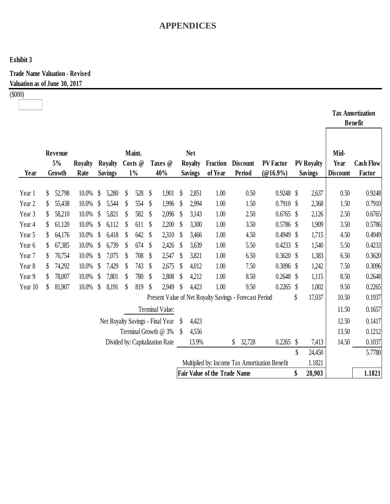## **Exhibit 3**

**Trade Name Valuation - Revised Valuation as of June 30, 2017**

(\$000)

|                   |    |                         |                        |                           |                                  |                           |                            |                   |                                     |                           |                                                |                                                        |                           |                                                |               |                                     |                                 | Tax Amortization<br><b>Benefit</b> |
|-------------------|----|-------------------------|------------------------|---------------------------|----------------------------------|---------------------------|----------------------------|-------------------|-------------------------------------|---------------------------|------------------------------------------------|--------------------------------------------------------|---------------------------|------------------------------------------------|---------------|-------------------------------------|---------------------------------|------------------------------------|
| Year              |    | Revenue<br>5%<br>Growth | <b>Royalty</b><br>Rate |                           | <b>Royalty</b><br><b>Savings</b> |                           | Maint.<br>Costs @<br>$1\%$ |                   | Taxes @<br>40%                      |                           | <b>Net</b><br><b>Royalty</b><br><b>Savings</b> | Fraction<br>of Year                                    | <b>Discount</b><br>Period | <b>PV Factor</b><br>$(@16.9\%)$                |               | <b>PV Royalty</b><br><b>Savings</b> | Mid-<br>Year<br><b>Discount</b> | <b>Cash Flow</b><br>Factor         |
| Year 1            | S  | 52,798                  | 10.0%                  | \$                        | 5,280                            | $\boldsymbol{\mathsf{S}}$ | 528                        | \$                | 1,901                               | $\boldsymbol{\mathsf{S}}$ | 2,851                                          | 1.00                                                   | 0.50                      | $0.9248$ \$                                    |               | 2,637                               | 0.50                            | 0.9248                             |
| Year <sub>2</sub> | \$ | 55,438                  | 10.0%                  | \$                        | 5,544                            | \$                        | 554                        | \$                | 1,996                               | $\boldsymbol{\mathsf{S}}$ | 2,994                                          | 1.00                                                   | 1.50                      | 0.7910                                         | $\mathcal{S}$ | 2,368                               | 1.50                            | 0.7910                             |
| Year 3            | \$ | 58,210                  | 10.0%                  | \$                        | 5,821                            | \$                        | 582                        | \$                | 2,096                               | \$                        | 3,143                                          | 1.00                                                   | 2.50                      | 0.6765                                         | $\mathcal{S}$ | 2,126                               | 2.50                            | 0.6765                             |
| Year 4            | S  | 61,120                  | 10.0%                  | \$                        | 6,112                            | S                         | 611                        | \$                | 2,200                               | <sup>\$</sup>             | 3,300                                          | 1.00                                                   | 3.50                      | $0.5786$ \$                                    |               | 1,909                               | 3.50                            | 0.5786                             |
| Year 5            | \$ | 64,176                  | 10.0%                  | $\boldsymbol{\mathsf{S}}$ | 6,418                            | S                         | 642                        | \$                | 2,310                               | <sup>\$</sup>             | 3,466                                          | 1.00                                                   | 4.50                      | 0.4949                                         | $\mathcal{S}$ | 1,715                               | 4.50                            | 0.4949                             |
| Year 6            | \$ | 67,385                  | 10.0%                  | $\boldsymbol{\mathsf{S}}$ | 6,739                            | \$                        | 674                        | \$                | 2,426                               | <sup>\$</sup>             | 3,639                                          | 1.00                                                   | 5.50                      | 0.4233                                         | $\mathcal{S}$ | 1,540                               | 5.50                            | 0.4233                             |
| Year 7            | S  | 70,754                  | 10.0%                  | <sup>S</sup>              | 7,075                            | S                         | 708                        | \$                | 2,547                               | S                         | 3,821                                          | 1.00                                                   | 6.50                      | 0.3620                                         | <sup>\$</sup> | 1,383                               | 6.50                            | 0.3620                             |
| Year 8            | \$ | 74,292                  | 10.0%                  | $\boldsymbol{\mathsf{S}}$ | 7,429                            | $\boldsymbol{\mathsf{S}}$ | 743                        | \$                | 2,675                               | $\mathcal{S}$             | 4,012                                          | 1.00                                                   | 7.50                      | $0.3096$ \$                                    |               | 1,242                               | 7.50                            | 0.3096                             |
| Year 9            | \$ | 78,007                  | 10.0%                  | $\boldsymbol{\mathsf{S}}$ | 7,801                            | S                         | 780                        | \$                | 2,808                               | $\boldsymbol{\mathsf{S}}$ | 4,212                                          | 1.00                                                   | 8.50                      | 0.2648                                         | S             | 1,115                               | 8.50                            | 0.2648                             |
| Year 10           | \$ | 81,907                  | 10.0%                  | \$                        | 8,191                            | $\mathcal{S}$             | 819                        | $\boldsymbol{\S}$ | 2,949                               | $\boldsymbol{\S}$         | 4,423                                          | 1.00                                                   | 9.50                      | 0.2265                                         | \$            | 1,002                               | 9.50                            | 0.2265                             |
|                   |    |                         |                        |                           |                                  |                           |                            |                   |                                     |                           |                                                | Present Value of Net Royalty Savings - Forecast Period |                           |                                                | \$            | 17,037                              | 10.50                           | 0.1937                             |
|                   |    |                         |                        |                           |                                  |                           |                            |                   | Terminal Value:                     |                           |                                                |                                                        |                           |                                                |               |                                     | 11.50                           | 0.1657                             |
|                   |    |                         |                        |                           |                                  |                           |                            |                   | Net Royalty Savings - Final Year \$ |                           | 4,423                                          |                                                        |                           |                                                |               |                                     | 12.50                           | 0.1417                             |
|                   |    |                         |                        |                           |                                  |                           |                            |                   | Terminal Growth @ 3%                | <sup>\$</sup>             | 4,556                                          |                                                        |                           |                                                |               |                                     | 13.50                           | 0.1212                             |
|                   |    |                         |                        |                           |                                  |                           |                            |                   | Divided by: Capitalization Rate     |                           | 13.9%                                          |                                                        | \$<br>32,728              | 0.2265                                         | $\mathcal{S}$ | 7,413                               | 14.50                           | 0.1037                             |
|                   |    |                         |                        |                           |                                  |                           |                            |                   |                                     |                           |                                                |                                                        |                           |                                                | \$            | 24,450                              |                                 | 5.7780                             |
|                   |    |                         |                        |                           |                                  |                           |                            |                   |                                     |                           |                                                |                                                        |                           | Multiplied by: Income Tax Amortization Benefit |               | 1.1821                              |                                 |                                    |
|                   |    |                         |                        |                           |                                  |                           |                            |                   |                                     |                           |                                                | <b>Fair Value of the Trade Name</b>                    |                           |                                                | \$            | 28,903                              |                                 | 1.1821                             |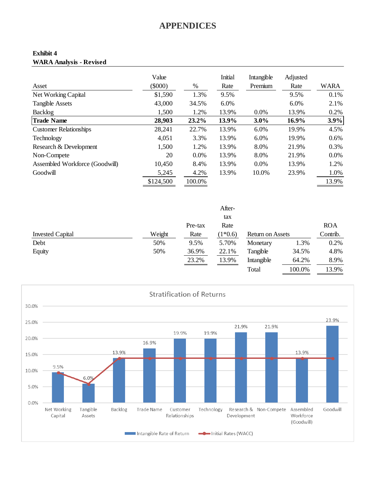### **Exhibit 4 WARA Analysis - Revised**

|                                | Value      |        | Initial | Intangible | Adjusted |       |
|--------------------------------|------------|--------|---------|------------|----------|-------|
| Asset                          | $($ \$000) | %      | Rate    | Premium    | Rate     | WARA  |
| Net Working Capital            | \$1,590    | 1.3%   | 9.5%    |            | 9.5%     | 0.1%  |
| <b>Tangible Assets</b>         | 43,000     | 34.5%  | $6.0\%$ |            | 6.0%     | 2.1%  |
| Backlog                        | 1,500      | 1.2%   | 13.9%   | $0.0\%$    | 13.9%    | 0.2%  |
| <b>Trade Name</b>              | 28,903     | 23.2%  | 13.9%   | 3.0%       | 16.9%    | 3.9%  |
| <b>Customer Relationships</b>  | 28,241     | 22.7%  | 13.9%   | 6.0%       | 19.9%    | 4.5%  |
| Technology                     | 4,051      | 3.3%   | 13.9%   | 6.0%       | 19.9%    | 0.6%  |
| Research & Development         | 1,500      | 1.2%   | 13.9%   | 8.0%       | 21.9%    | 0.3%  |
| Non-Compete                    | 20         | 0.0%   | 13.9%   | 8.0%       | 21.9%    | 0.0%  |
| Assembled Workforce (Goodwill) | 10.450     | 8.4%   | 13.9%   | $0.0\%$    | 13.9%    | 1.2%  |
| Goodwill                       | 5,245      | 4.2%   | 13.9%   | 10.0%      | 23.9%    | 1.0%  |
|                                | \$124,500  | 100.0% |         |            |          | 13.9% |

|                         |        |         | After-    |                         |        |            |
|-------------------------|--------|---------|-----------|-------------------------|--------|------------|
|                         |        |         | tax       |                         |        |            |
|                         |        | Pre-tax | Rate      |                         |        | <b>ROA</b> |
| <b>Invested Capital</b> | Weight | Rate    | $(1*0.6)$ | <b>Return on Assets</b> |        | Contrib.   |
| Debt                    | 50%    | 9.5%    | 5.70%     | Monetary                | 1.3%   | 0.2%       |
| Equity                  | 50%    | 36.9%   | 22.1%     | Tangible                | 34.5%  | 4.8%       |
|                         |        | 23.2%   | 13.9%     | Intangible              | 64.2%  | 8.9%       |
|                         |        |         |           | Total                   | 100.0% | 13.9%      |

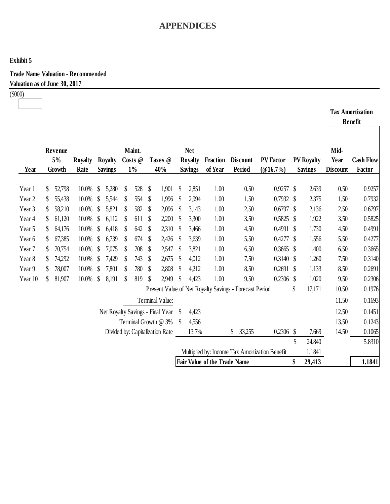## **Exhibit 5**

**Trade Name Valuation - Recommended Valuation as of June 30, 2017**

(\$000)  $\overline{\phantom{a}}$ 

|                                                          |                                    |                         |                        |               |                                  |    |                            |              |                 |                           |                                                |                                                        |                           |                              |               |                                     |                                 | <b>Tax Amortization</b><br><b>Benefit</b> |
|----------------------------------------------------------|------------------------------------|-------------------------|------------------------|---------------|----------------------------------|----|----------------------------|--------------|-----------------|---------------------------|------------------------------------------------|--------------------------------------------------------|---------------------------|------------------------------|---------------|-------------------------------------|---------------------------------|-------------------------------------------|
| Year                                                     |                                    | Revenue<br>5%<br>Growth | <b>Royalty</b><br>Rate |               | <b>Royalty</b><br><b>Savings</b> |    | Maint.<br>Costs @<br>$1\%$ |              | Taxes @<br>40%  |                           | <b>Net</b><br><b>Royalty</b><br><b>Savings</b> | <b>Fraction</b><br>of Year                             | <b>Discount</b><br>Period | <b>PV Factor</b><br>(@16.7%) |               | <b>PV Royalty</b><br><b>Savings</b> | Mid-<br>Year<br><b>Discount</b> | <b>Cash Flow</b><br>Factor                |
| Year 1                                                   | S                                  | 52,798                  | 10.0%                  | $\mathcal{S}$ | 5,280                            | \$ | 528                        | \$           | 1,901           | $\boldsymbol{\mathsf{S}}$ | 2,851                                          | 1.00                                                   | 0.50                      | $0.9257$ \$                  |               | 2,639                               | 0.50                            | 0.9257                                    |
| Year 2                                                   | \$                                 | 55,438                  | 10.0%                  | \$            | 5,544                            | \$ | 554                        | \$           | 1,996           | $\boldsymbol{\mathsf{S}}$ | 2,994                                          | 1.00                                                   | 1.50                      | 0.7932                       | $\mathcal{S}$ | 2,375                               | 1.50                            | 0.7932                                    |
| Year 3                                                   | S                                  | 58,210                  | 10.0%                  | $\mathcal{S}$ | 5,821                            | S  | 582                        | \$           | 2,096           | S                         | 3,143                                          | 1.00                                                   | 2.50                      | 0.6797                       | S             | 2,136                               | 2.50                            | 0.6797                                    |
| Year 4                                                   | \$                                 | 61,120                  | 10.0%                  | \$            | 6,112                            | S  | 611                        | $\mathbb{S}$ | 2,200           | S                         | 3,300                                          | 1.00                                                   | 3.50                      | 0.5825                       | S             | 1,922                               | 3.50                            | 0.5825                                    |
| Year 5                                                   | \$                                 | 64,176                  | 10.0%                  | $\mathcal{S}$ | 6,418                            | \$ | 642                        | \$           | 2,310           | -S                        | 3,466                                          | 1.00                                                   | 4.50                      | $0.4991$ \$                  |               | 1,730                               | 4.50                            | 0.4991                                    |
| Year 6                                                   | \$                                 | 67,385                  | 10.0%                  | $\mathcal{S}$ | 6,739                            | \$ | 674                        | \$           | 2,426           | $\mathcal{S}$             | 3,639                                          | 1.00                                                   | 5.50                      | 0.4277                       | $\mathbb{S}$  | 1,556                               | 5.50                            | 0.4277                                    |
| Year 7                                                   | \$                                 | 70,754                  | 10.0%                  | \$            | 7,075                            | \$ | 708                        | \$           | 2,547           | \$                        | 3,821                                          | 1.00                                                   | 6.50                      | 0.3665                       | S             | 1,400                               | 6.50                            | 0.3665                                    |
| Year 8                                                   | \$                                 | 74,292                  | 10.0%                  | S             | 7,429                            | \$ | 743                        | \$           | 2,675           | S                         | 4,012                                          | 1.00                                                   | 7.50                      | 0.3140                       | S             | 1,260                               | 7.50                            | 0.3140                                    |
| Year 9                                                   | \$                                 | 78,007                  | 10.0%                  | \$            | 7,801                            | \$ | 780                        | \$           | 2,808           | $\mathbb{S}$              | 4,212                                          | 1.00                                                   | 8.50                      | $0.2691$ \$                  |               | 1,133                               | 8.50                            | 0.2691                                    |
| Year 10                                                  | \$                                 | 81,907                  | 10.0%                  | $\mathbb{S}$  | 8,191                            | \$ | 819                        | \$           | 2,949           | \$                        | 4,423                                          | 1.00                                                   | 9.50                      | $0.2306$ \$                  |               | 1,020                               | 9.50                            | 0.2306                                    |
|                                                          |                                    |                         |                        |               |                                  |    |                            |              |                 |                           |                                                | Present Value of Net Royalty Savings - Forecast Period |                           |                              | \$            | 17,171                              | 10.50                           | 0.1976                                    |
|                                                          |                                    |                         |                        |               |                                  |    |                            |              | Terminal Value: |                           |                                                |                                                        |                           |                              |               |                                     | 11.50                           | 0.1693                                    |
| Net Royalty Savings - Final Year                         |                                    |                         |                        |               |                                  |    |                            | S            | 4,423           |                           |                                                |                                                        |                           |                              | 12.50         | 0.1451                              |                                 |                                           |
| Terminal Growth @ 3%                                     |                                    |                         |                        |               |                                  |    | -S                         | 4,556        |                 |                           |                                                |                                                        |                           | 13.50                        | 0.1243        |                                     |                                 |                                           |
|                                                          | Divided by: Capitalization Rate    |                         |                        |               |                                  |    |                            | 13.7%        |                 | \$<br>33,255              | $0.2306$ \$                                    |                                                        | 7,669                     | 14.50                        | 0.1065        |                                     |                                 |                                           |
|                                                          |                                    |                         |                        |               |                                  |    |                            |              |                 |                           |                                                |                                                        |                           |                              | \$            | 24,840                              |                                 | 5.8310                                    |
| 1.1841<br>Multiplied by: Income Tax Amortization Benefit |                                    |                         |                        |               |                                  |    |                            |              |                 |                           |                                                |                                                        |                           |                              |               |                                     |                                 |                                           |
|                                                          | Fair Value of the Trade Name<br>\$ |                         |                        |               |                                  |    |                            |              |                 |                           | 29,413                                         |                                                        | 1.1841                    |                              |               |                                     |                                 |                                           |